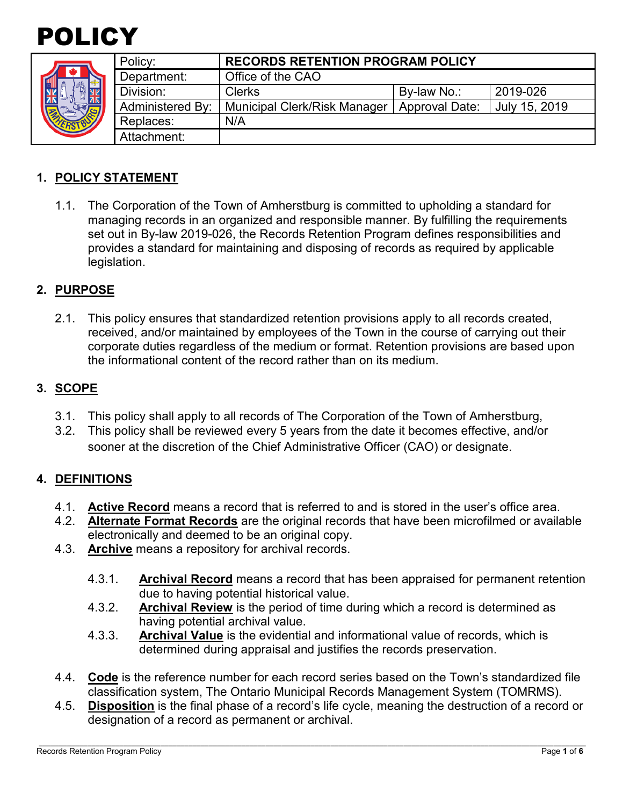

|  | Policy:                 | <b>RECORDS RETENTION PROGRAM POLICY</b> |                       |               |
|--|-------------------------|-----------------------------------------|-----------------------|---------------|
|  | Department:             | Office of the CAO                       |                       |               |
|  | Division:               | <b>Clerks</b>                           | By-law No.:           | 2019-026      |
|  | <b>Administered By:</b> | <b>Municipal Clerk/Risk Manager</b>     | <b>Approval Date:</b> | July 15, 2019 |
|  | Replaces:               | N/A                                     |                       |               |
|  | Attachment:             |                                         |                       |               |

## **1. POLICY STATEMENT**

1.1. The Corporation of the Town of Amherstburg is committed to upholding a standard for managing records in an organized and responsible manner. By fulfilling the requirements set out in By-law 2019-026, the Records Retention Program defines responsibilities and provides a standard for maintaining and disposing of records as required by applicable legislation.

#### **2. PURPOSE**

2.1. This policy ensures that standardized retention provisions apply to all records created, received, and/or maintained by employees of the Town in the course of carrying out their corporate duties regardless of the medium or format. Retention provisions are based upon the informational content of the record rather than on its medium.

#### **3. SCOPE**

- 3.1. This policy shall apply to all records of The Corporation of the Town of Amherstburg,
- 3.2. This policy shall be reviewed every 5 years from the date it becomes effective, and/or sooner at the discretion of the Chief Administrative Officer (CAO) or designate.

#### **4. DEFINITIONS**

- 4.1. **Active Record** means a record that is referred to and is stored in the user's office area.
- 4.2. **Alternate Format Records** are the original records that have been microfilmed or available electronically and deemed to be an original copy.
- 4.3. **Archive** means a repository for archival records.
	- 4.3.1. **Archival Record** means a record that has been appraised for permanent retention due to having potential historical value.
	- 4.3.2. **Archival Review** is the period of time during which a record is determined as having potential archival value.
	- 4.3.3. **Archival Value** is the evidential and informational value of records, which is determined during appraisal and justifies the records preservation.
- 4.4. **Code** is the reference number for each record series based on the Town's standardized file classification system, The Ontario Municipal Records Management System (TOMRMS).
- 4.5. **Disposition** is the final phase of a record's life cycle, meaning the destruction of a record or designation of a record as permanent or archival.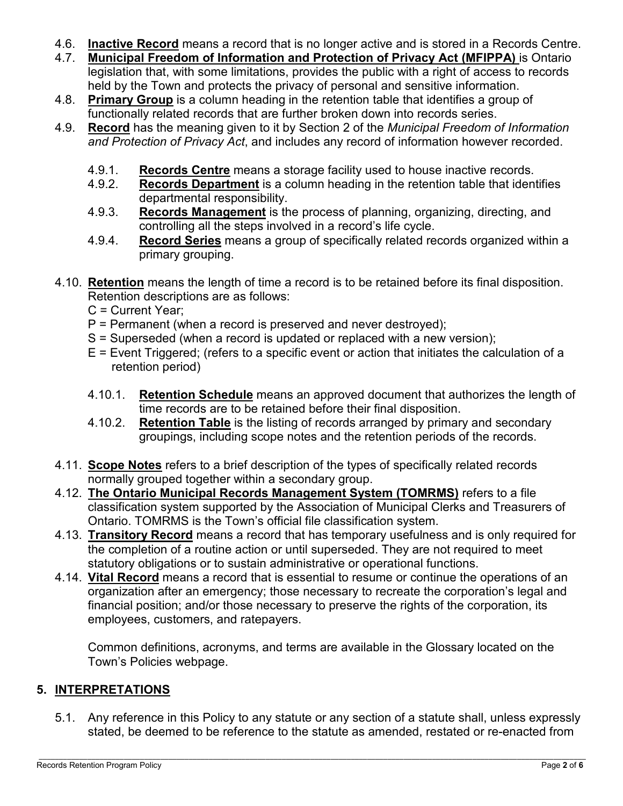- 4.6. **Inactive Record** means a record that is no longer active and is stored in a Records Centre.
- 4.7. **Municipal Freedom of Information and Protection of Privacy Act (MFIPPA)** is Ontario legislation that, with some limitations, provides the public with a right of access to records held by the Town and protects the privacy of personal and sensitive information.
- 4.8. **Primary Group** is a column heading in the retention table that identifies a group of functionally related records that are further broken down into records series.
- 4.9. **Record** has the meaning given to it by Section 2 of the *Municipal Freedom of Information and Protection of Privacy Act*, and includes any record of information however recorded.
	- 4.9.1. **Records Centre** means a storage facility used to house inactive records.
	- 4.9.2. **Records Department** is a column heading in the retention table that identifies departmental responsibility.
	- 4.9.3. **Records Management** is the process of planning, organizing, directing, and controlling all the steps involved in a record's life cycle.
	- 4.9.4. **Record Series** means a group of specifically related records organized within a primary grouping.
- 4.10. **Retention** means the length of time a record is to be retained before its final disposition. Retention descriptions are as follows:
	- C = Current Year;
	- P = Permanent (when a record is preserved and never destroyed);
	- S = Superseded (when a record is updated or replaced with a new version);
	- E = Event Triggered; (refers to a specific event or action that initiates the calculation of a retention period)
	- 4.10.1. **Retention Schedule** means an approved document that authorizes the length of time records are to be retained before their final disposition.
	- 4.10.2. **Retention Table** is the listing of records arranged by primary and secondary groupings, including scope notes and the retention periods of the records.
- 4.11. **Scope Notes** refers to a brief description of the types of specifically related records normally grouped together within a secondary group.
- 4.12. **The Ontario Municipal Records Management System (TOMRMS)** refers to a file classification system supported by the Association of Municipal Clerks and Treasurers of Ontario. TOMRMS is the Town's official file classification system.
- 4.13. **Transitory Record** means a record that has temporary usefulness and is only required for the completion of a routine action or until superseded. They are not required to meet statutory obligations or to sustain administrative or operational functions.
- 4.14. **Vital Record** means a record that is essential to resume or continue the operations of an organization after an emergency; those necessary to recreate the corporation's legal and financial position; and/or those necessary to preserve the rights of the corporation, its employees, customers, and ratepayers.

Common definitions, acronyms, and terms are available in the Glossary located on the Town's Policies webpage.

## **5. INTERPRETATIONS**

5.1. Any reference in this Policy to any statute or any section of a statute shall, unless expressly stated, be deemed to be reference to the statute as amended, restated or re-enacted from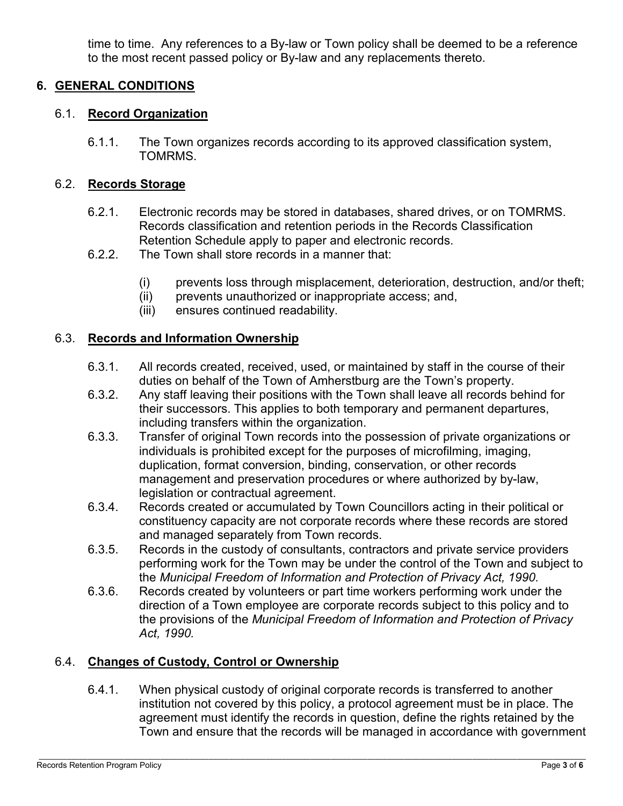time to time. Any references to a By-law or Town policy shall be deemed to be a reference to the most recent passed policy or By-law and any replacements thereto.

## **6. GENERAL CONDITIONS**

## 6.1. **Record Organization**

6.1.1. The Town organizes records according to its approved classification system, TOMRMS.

## 6.2. **Records Storage**

- 6.2.1. Electronic records may be stored in databases, shared drives, or on TOMRMS. Records classification and retention periods in the Records Classification Retention Schedule apply to paper and electronic records.
- 6.2.2. The Town shall store records in a manner that:
	- (i) prevents loss through misplacement, deterioration, destruction, and/or theft;
	- (ii) prevents unauthorized or inappropriate access; and,
	- (iii) ensures continued readability.

### 6.3. **Records and Information Ownership**

- 6.3.1. All records created, received, used, or maintained by staff in the course of their duties on behalf of the Town of Amherstburg are the Town's property.
- 6.3.2. Any staff leaving their positions with the Town shall leave all records behind for their successors. This applies to both temporary and permanent departures, including transfers within the organization.
- 6.3.3. Transfer of original Town records into the possession of private organizations or individuals is prohibited except for the purposes of microfilming, imaging, duplication, format conversion, binding, conservation, or other records management and preservation procedures or where authorized by by-law, legislation or contractual agreement.
- 6.3.4. Records created or accumulated by Town Councillors acting in their political or constituency capacity are not corporate records where these records are stored and managed separately from Town records.
- 6.3.5. Records in the custody of consultants, contractors and private service providers performing work for the Town may be under the control of the Town and subject to the *Municipal Freedom of Information and Protection of Privacy Act, 1990.*
- 6.3.6. Records created by volunteers or part time workers performing work under the direction of a Town employee are corporate records subject to this policy and to the provisions of the *Municipal Freedom of Information and Protection of Privacy Act, 1990.*

## 6.4. **Changes of Custody, Control or Ownership**

6.4.1. When physical custody of original corporate records is transferred to another institution not covered by this policy, a protocol agreement must be in place. The agreement must identify the records in question, define the rights retained by the Town and ensure that the records will be managed in accordance with government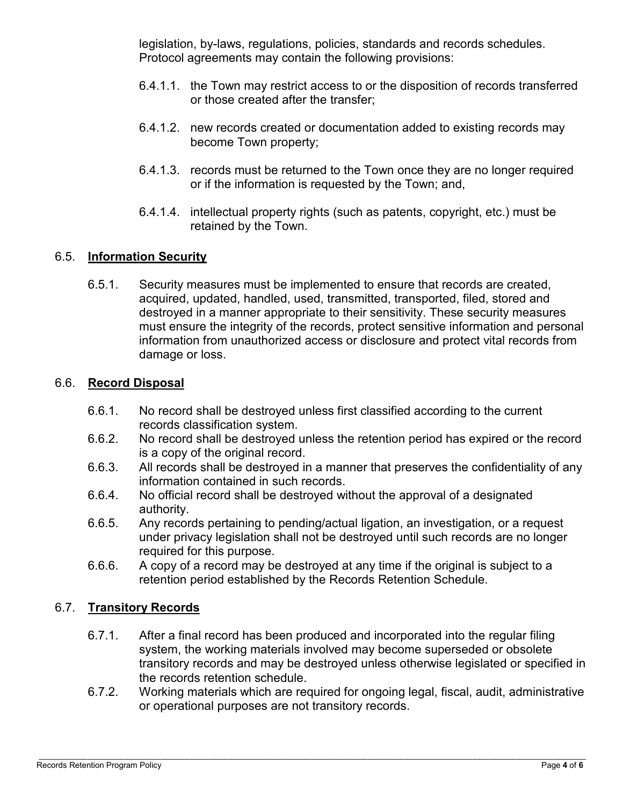legislation, by-laws, regulations, policies, standards and records schedules. Protocol agreements may contain the following provisions:

- 6.4.1.1. the Town may restrict access to or the disposition of records transferred or those created after the transfer;
- 6.4.1.2. new records created or documentation added to existing records may become Town property;
- 6.4.1.3. records must be returned to the Town once they are no longer required or if the information is requested by the Town; and,
- 6.4.1.4. intellectual property rights (such as patents, copyright, etc.) must be retained by the Town.

#### 6.5. **Information Security**

6.5.1. Security measures must be implemented to ensure that records are created, acquired, updated, handled, used, transmitted, transported, filed, stored and destroyed in a manner appropriate to their sensitivity. These security measures must ensure the integrity of the records, protect sensitive information and personal information from unauthorized access or disclosure and protect vital records from damage or loss.

# 6.6. **Record Disposal**

- 6.6.1. No record shall be destroyed unless first classified according to the current records classification system.
- 6.6.2. No record shall be destroyed unless the retention period has expired or the record is a copy of the original record.
- 6.6.3. All records shall be destroyed in a manner that preserves the confidentiality of any information contained in such records.
- 6.6.4. No official record shall be destroyed without the approval of a designated authority.
- 6.6.5. Any records pertaining to pending/actual ligation, an investigation, or a request under privacy legislation shall not be destroyed until such records are no longer required for this purpose.
- 6.6.6. A copy of a record may be destroyed at any time if the original is subject to a retention period established by the Records Retention Schedule.

## 6.7. **Transitory Records**

- 6.7.1. After a final record has been produced and incorporated into the regular filing system, the working materials involved may become superseded or obsolete transitory records and may be destroyed unless otherwise legislated or specified in the records retention schedule.
- 6.7.2. Working materials which are required for ongoing legal, fiscal, audit, administrative or operational purposes are not transitory records.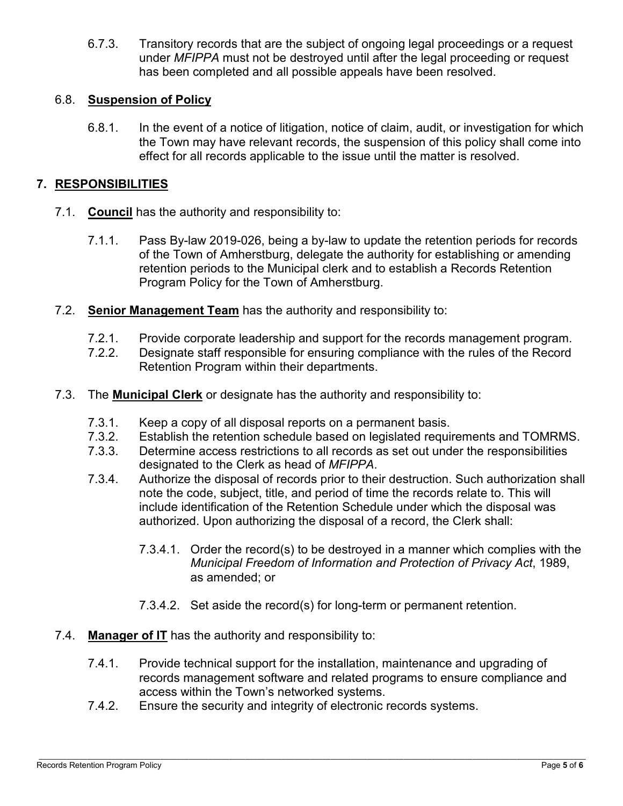6.7.3. Transitory records that are the subject of ongoing legal proceedings or a request under *MFIPPA* must not be destroyed until after the legal proceeding or request has been completed and all possible appeals have been resolved.

## 6.8. **Suspension of Policy**

6.8.1. In the event of a notice of litigation, notice of claim, audit, or investigation for which the Town may have relevant records, the suspension of this policy shall come into effect for all records applicable to the issue until the matter is resolved.

## **7. RESPONSIBILITIES**

- 7.1. **Council** has the authority and responsibility to:
	- 7.1.1. Pass By-law 2019-026, being a by-law to update the retention periods for records of the Town of Amherstburg, delegate the authority for establishing or amending retention periods to the Municipal clerk and to establish a Records Retention Program Policy for the Town of Amherstburg.
- 7.2. **Senior Management Team** has the authority and responsibility to:
	- 7.2.1. Provide corporate leadership and support for the records management program.
	- 7.2.2. Designate staff responsible for ensuring compliance with the rules of the Record Retention Program within their departments.
- 7.3. The **Municipal Clerk** or designate has the authority and responsibility to:
	- 7.3.1. Keep a copy of all disposal reports on a permanent basis.<br>7.3.2. Establish the retention schedule based on legislated requi
	- Establish the retention schedule based on legislated requirements and TOMRMS.
	- 7.3.3. Determine access restrictions to all records as set out under the responsibilities designated to the Clerk as head of *MFIPPA*.
	- 7.3.4. Authorize the disposal of records prior to their destruction. Such authorization shall note the code, subject, title, and period of time the records relate to. This will include identification of the Retention Schedule under which the disposal was authorized. Upon authorizing the disposal of a record, the Clerk shall:
		- 7.3.4.1. Order the record(s) to be destroyed in a manner which complies with the *Municipal Freedom of Information and Protection of Privacy Act*, 1989, as amended; or
		- 7.3.4.2. Set aside the record(s) for long-term or permanent retention.
- 7.4. **Manager of IT** has the authority and responsibility to:
	- 7.4.1. Provide technical support for the installation, maintenance and upgrading of records management software and related programs to ensure compliance and access within the Town's networked systems.
	- 7.4.2. Ensure the security and integrity of electronic records systems.